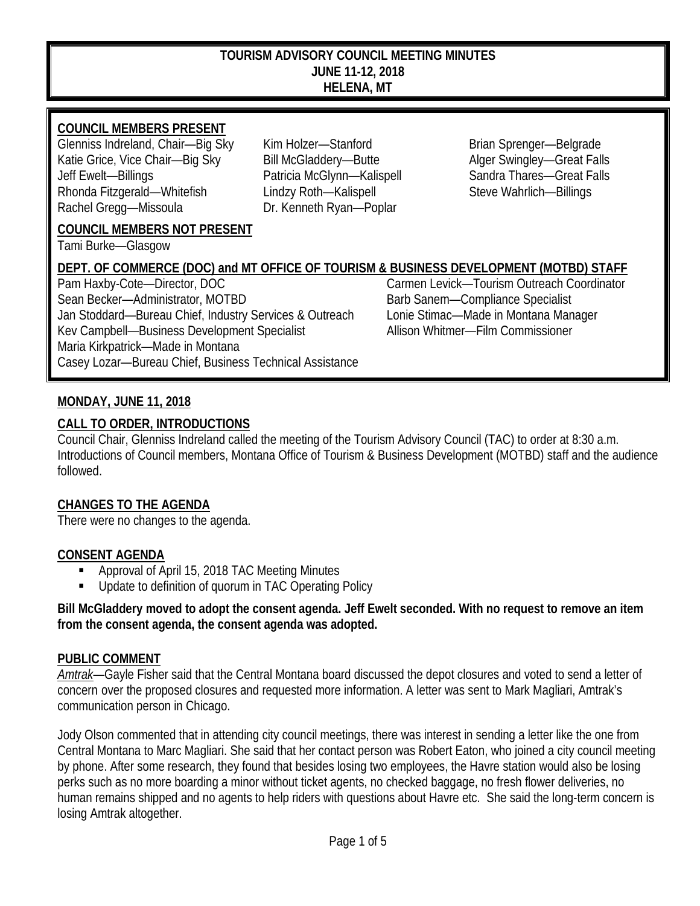#### **TOURISM ADVISORY COUNCIL MEETING MINUTES JUNE 11-12, 2018 HELENA, MT**

# **COUNCIL MEMBERS PRESENT**

Glenniss Indreland, Chair—Big Sky Kim Holzer—Stanford Brian Sprenger—Belgrade Katie Grice, Vice Chair—Big Sky Bill McGladdery—Butte Alger Swingley—Great Falls Jeff Ewelt—Billings Patricia McGlynn—Kalispell Sandra Thares—Great Falls Rhonda Fitzgerald—Whitefish Lindzy Roth—Kalispell Steve Wahrlich—Billings Rachel Gregg—Missoula Dr. Kenneth Ryan—Poplar

# **COUNCIL MEMBERS NOT PRESENT**

Tami Burke—Glasgow

# **DEPT. OF COMMERCE (DOC) and MT OFFICE OF TOURISM & BUSINESS DEVELOPMENT (MOTBD) STAFF**

Pam Haxby-Cote—Director, DOC Carmen Levick—Tourism Outreach Coordinator Sean Becker—Administrator, MOTBD Barb Sanem—Compliance Specialist Jan Stoddard—Bureau Chief, Industry Services & Outreach Lonie Stimac—Made in Montana Manager Kev Campbell—Business Development Specialist Allison Whitmer—Film Commissioner Maria Kirkpatrick—Made in Montana Casey Lozar—Bureau Chief, Business Technical Assistance

# **MONDAY, JUNE 11, 2018**

## **CALL TO ORDER, INTRODUCTIONS**

Council Chair, Glenniss Indreland called the meeting of the Tourism Advisory Council (TAC) to order at 8:30 a.m. Introductions of Council members, Montana Office of Tourism & Business Development (MOTBD) staff and the audience followed.

# **CHANGES TO THE AGENDA**

There were no changes to the agenda.

#### **CONSENT AGENDA**

- Approval of April 15, 2018 TAC Meeting Minutes
- **Update to definition of quorum in TAC Operating Policy**

#### **Bill McGladdery moved to adopt the consent agenda. Jeff Ewelt seconded. With no request to remove an item from the consent agenda, the consent agenda was adopted.**

#### **PUBLIC COMMENT**

*Amtrak*—Gayle Fisher said that the Central Montana board discussed the depot closures and voted to send a letter of concern over the proposed closures and requested more information. A letter was sent to Mark Magliari, Amtrak's communication person in Chicago.

Jody Olson commented that in attending city council meetings, there was interest in sending a letter like the one from Central Montana to Marc Magliari. She said that her contact person was Robert Eaton, who joined a city council meeting by phone. After some research, they found that besides losing two employees, the Havre station would also be losing perks such as no more boarding a minor without ticket agents, no checked baggage, no fresh flower deliveries, no human remains shipped and no agents to help riders with questions about Havre etc. She said the long-term concern is losing Amtrak altogether.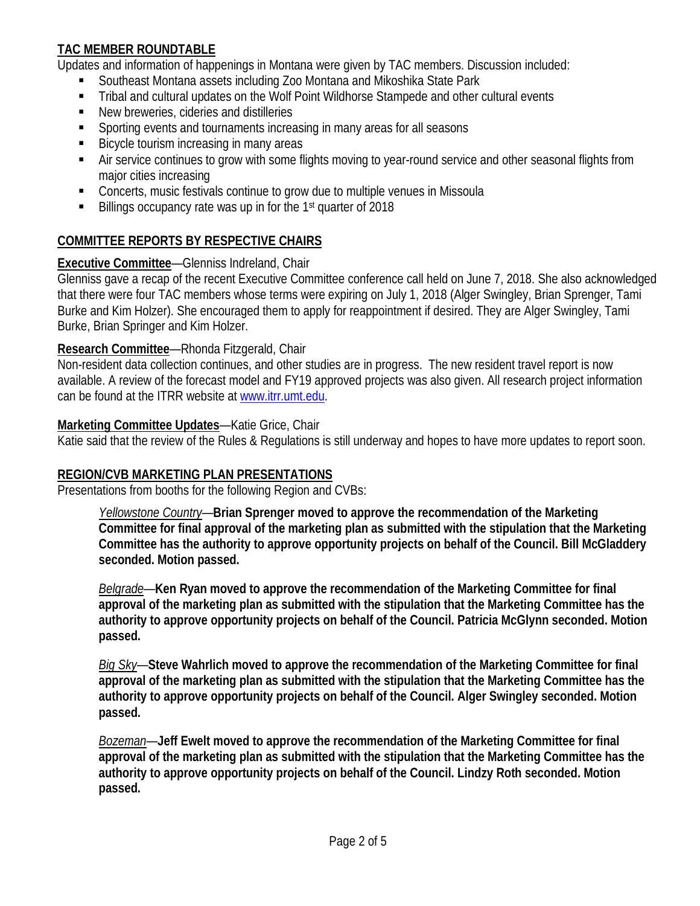# **TAC MEMBER ROUNDTABLE**

Updates and information of happenings in Montana were given by TAC members. Discussion included:

- Southeast Montana assets including Zoo Montana and Mikoshika State Park
- Tribal and cultural updates on the Wolf Point Wildhorse Stampede and other cultural events
- New breweries, cideries and distilleries
- Sporting events and tournaments increasing in many areas for all seasons
- **Bicycle tourism increasing in many areas**
- Air service continues to grow with some flights moving to year-round service and other seasonal flights from major cities increasing
- Concerts, music festivals continue to grow due to multiple venues in Missoula
- $\blacksquare$  Billings occupancy rate was up in for the 1<sup>st</sup> quarter of 2018

# **COMMITTEE REPORTS BY RESPECTIVE CHAIRS**

# **Executive Committee**—Glenniss Indreland, Chair

Glenniss gave a recap of the recent Executive Committee conference call held on June 7, 2018. She also acknowledged that there were four TAC members whose terms were expiring on July 1, 2018 (Alger Swingley, Brian Sprenger, Tami Burke and Kim Holzer). She encouraged them to apply for reappointment if desired. They are Alger Swingley, Tami Burke, Brian Springer and Kim Holzer.

## **Research Committee**—Rhonda Fitzgerald, Chair

Non-resident data collection continues, and other studies are in progress. The new resident travel report is now available. A review of the forecast model and FY19 approved projects was also given. All research project information can be found at the ITRR website at [www.itrr.umt.edu.](http://www.itrr.umt.edu/)

#### **Marketing Committee Updates**—Katie Grice, Chair

Katie said that the review of the Rules & Regulations is still underway and hopes to have more updates to report soon.

# **REGION/CVB MARKETING PLAN PRESENTATIONS**

Presentations from booths for the following Region and CVBs:

*Yellowstone Country*—**Brian Sprenger moved to approve the recommendation of the Marketing Committee for final approval of the marketing plan as submitted with the stipulation that the Marketing Committee has the authority to approve opportunity projects on behalf of the Council. Bill McGladdery seconded. Motion passed.**

*Belgrade*—**Ken Ryan moved to approve the recommendation of the Marketing Committee for final approval of the marketing plan as submitted with the stipulation that the Marketing Committee has the authority to approve opportunity projects on behalf of the Council. Patricia McGlynn seconded. Motion passed.**

*Big Sky*—**Steve Wahrlich moved to approve the recommendation of the Marketing Committee for final approval of the marketing plan as submitted with the stipulation that the Marketing Committee has the authority to approve opportunity projects on behalf of the Council. Alger Swingley seconded. Motion passed.**

*Bozeman*—**Jeff Ewelt moved to approve the recommendation of the Marketing Committee for final approval of the marketing plan as submitted with the stipulation that the Marketing Committee has the authority to approve opportunity projects on behalf of the Council. Lindzy Roth seconded. Motion passed.**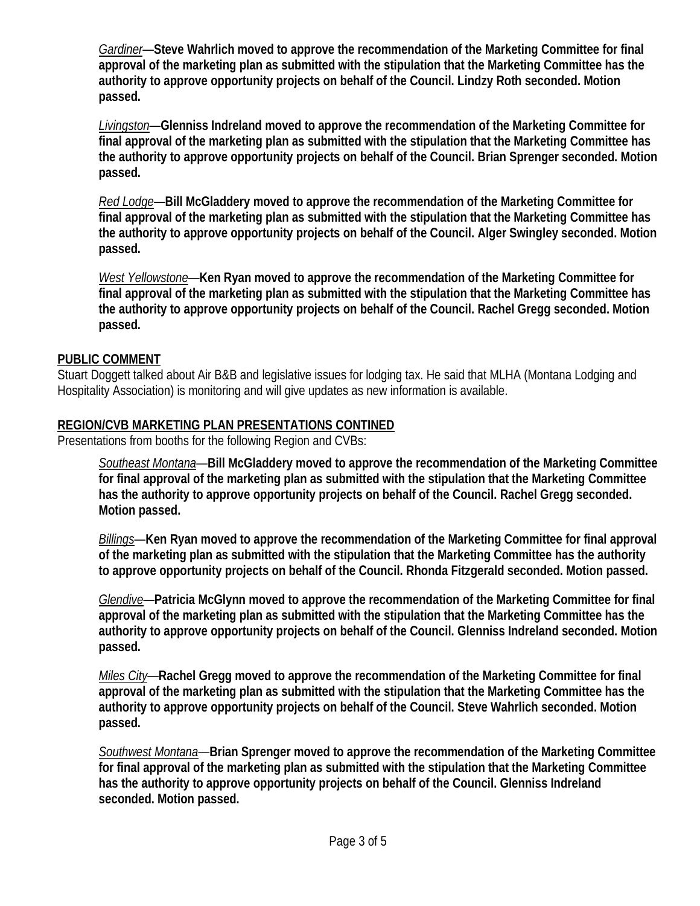*Gardiner*—**Steve Wahrlich moved to approve the recommendation of the Marketing Committee for final approval of the marketing plan as submitted with the stipulation that the Marketing Committee has the authority to approve opportunity projects on behalf of the Council. Lindzy Roth seconded. Motion passed.**

*Livingston*—**Glenniss Indreland moved to approve the recommendation of the Marketing Committee for final approval of the marketing plan as submitted with the stipulation that the Marketing Committee has the authority to approve opportunity projects on behalf of the Council. Brian Sprenger seconded. Motion passed.**

*Red Lodge*—**Bill McGladdery moved to approve the recommendation of the Marketing Committee for final approval of the marketing plan as submitted with the stipulation that the Marketing Committee has the authority to approve opportunity projects on behalf of the Council. Alger Swingley seconded. Motion passed.**

*West Yellowstone*—**Ken Ryan moved to approve the recommendation of the Marketing Committee for final approval of the marketing plan as submitted with the stipulation that the Marketing Committee has the authority to approve opportunity projects on behalf of the Council. Rachel Gregg seconded. Motion passed.**

## **PUBLIC COMMENT**

Stuart Doggett talked about Air B&B and legislative issues for lodging tax. He said that MLHA (Montana Lodging and Hospitality Association) is monitoring and will give updates as new information is available.

## **REGION/CVB MARKETING PLAN PRESENTATIONS CONTINED**

Presentations from booths for the following Region and CVBs:

*Southeast Montana*—**Bill McGladdery moved to approve the recommendation of the Marketing Committee for final approval of the marketing plan as submitted with the stipulation that the Marketing Committee has the authority to approve opportunity projects on behalf of the Council. Rachel Gregg seconded. Motion passed.**

*Billings*—**Ken Ryan moved to approve the recommendation of the Marketing Committee for final approval of the marketing plan as submitted with the stipulation that the Marketing Committee has the authority to approve opportunity projects on behalf of the Council. Rhonda Fitzgerald seconded. Motion passed.**

*Glendive*—**Patricia McGlynn moved to approve the recommendation of the Marketing Committee for final approval of the marketing plan as submitted with the stipulation that the Marketing Committee has the authority to approve opportunity projects on behalf of the Council. Glenniss Indreland seconded. Motion passed.**

*Miles City*—**Rachel Gregg moved to approve the recommendation of the Marketing Committee for final approval of the marketing plan as submitted with the stipulation that the Marketing Committee has the authority to approve opportunity projects on behalf of the Council. Steve Wahrlich seconded. Motion passed.**

*Southwest Montana*—**Brian Sprenger moved to approve the recommendation of the Marketing Committee for final approval of the marketing plan as submitted with the stipulation that the Marketing Committee has the authority to approve opportunity projects on behalf of the Council. Glenniss Indreland seconded. Motion passed.**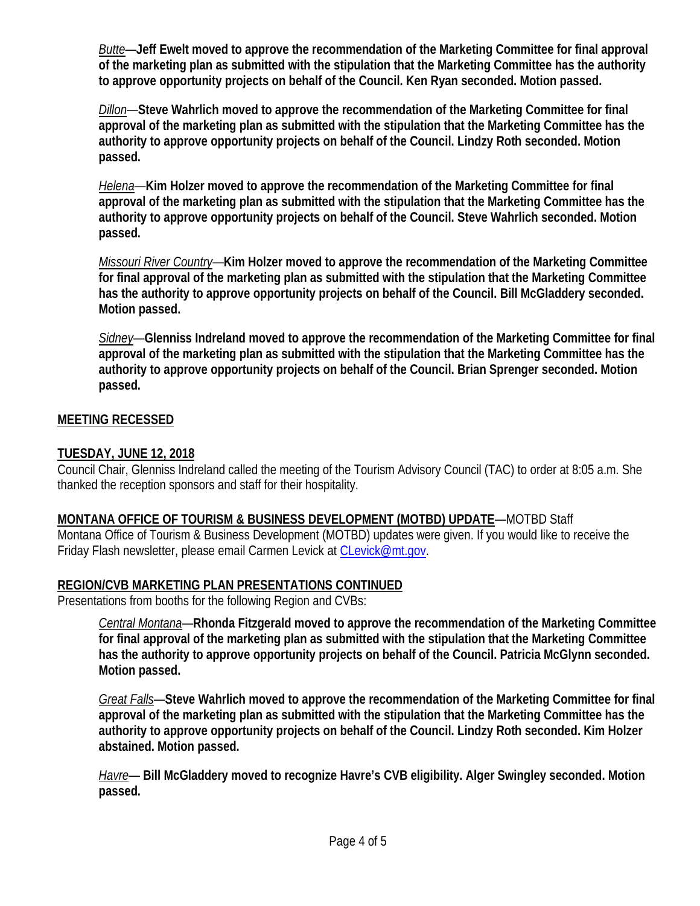*Butte*—**Jeff Ewelt moved to approve the recommendation of the Marketing Committee for final approval of the marketing plan as submitted with the stipulation that the Marketing Committee has the authority to approve opportunity projects on behalf of the Council. Ken Ryan seconded. Motion passed.**

*Dillon*—**Steve Wahrlich moved to approve the recommendation of the Marketing Committee for final approval of the marketing plan as submitted with the stipulation that the Marketing Committee has the authority to approve opportunity projects on behalf of the Council. Lindzy Roth seconded. Motion passed.**

*Helena*—**Kim Holzer moved to approve the recommendation of the Marketing Committee for final approval of the marketing plan as submitted with the stipulation that the Marketing Committee has the authority to approve opportunity projects on behalf of the Council. Steve Wahrlich seconded. Motion passed.**

*Missouri River Country*—**Kim Holzer moved to approve the recommendation of the Marketing Committee for final approval of the marketing plan as submitted with the stipulation that the Marketing Committee has the authority to approve opportunity projects on behalf of the Council. Bill McGladdery seconded. Motion passed.**

*Sidney*—**Glenniss Indreland moved to approve the recommendation of the Marketing Committee for final approval of the marketing plan as submitted with the stipulation that the Marketing Committee has the authority to approve opportunity projects on behalf of the Council. Brian Sprenger seconded. Motion passed.**

# **MEETING RECESSED**

# **TUESDAY, JUNE 12, 2018**

Council Chair, Glenniss Indreland called the meeting of the Tourism Advisory Council (TAC) to order at 8:05 a.m. She thanked the reception sponsors and staff for their hospitality.

# **MONTANA OFFICE OF TOURISM & BUSINESS DEVELOPMENT (MOTBD) UPDATE**—MOTBD Staff

Montana Office of Tourism & Business Development (MOTBD) updates were given. If you would like to receive the Friday Flash newsletter, please email Carmen Levick at [CLevick@mt.gov.](mailto:CLevick@mt.gov)

# **REGION/CVB MARKETING PLAN PRESENTATIONS CONTINUED**

Presentations from booths for the following Region and CVBs:

*Central Montana*—**Rhonda Fitzgerald moved to approve the recommendation of the Marketing Committee for final approval of the marketing plan as submitted with the stipulation that the Marketing Committee has the authority to approve opportunity projects on behalf of the Council. Patricia McGlynn seconded. Motion passed.**

*Great Falls*—**Steve Wahrlich moved to approve the recommendation of the Marketing Committee for final approval of the marketing plan as submitted with the stipulation that the Marketing Committee has the authority to approve opportunity projects on behalf of the Council. Lindzy Roth seconded. Kim Holzer abstained. Motion passed.**

*Havre*— **Bill McGladdery moved to recognize Havre's CVB eligibility. Alger Swingley seconded. Motion passed.**